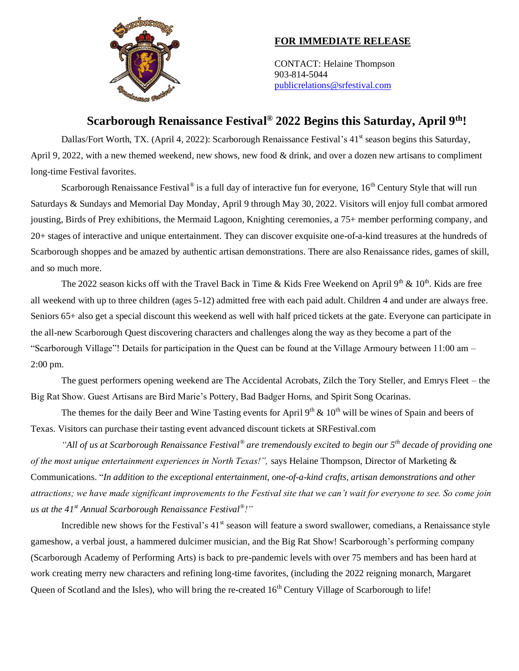

## **FOR IMMEDIATE RELEASE**

CONTACT: Helaine Thompson 903-814-5044 [publicrelations@srfestival.com](mailto:publicrelations@srfestival.com)

# **Scarborough Renaissance Festival ® 2022 Begins this Saturday, April 9 th!**

Dallas/Fort Worth, TX. (April 4, 2022): Scarborough Renaissance Festival's 41<sup>st</sup> season begins this Saturday, April 9, 2022, with a new themed weekend, new shows, new food & drink, and over a dozen new artisans to compliment long-time Festival favorites.

Scarborough Renaissance Festival<sup>®</sup> is a full day of interactive fun for everyone,  $16<sup>th</sup>$  Century Style that will run Saturdays & Sundays and Memorial Day Monday, April 9 through May 30, 2022. Visitors will enjoy full combat armored jousting, Birds of Prey exhibitions, the Mermaid Lagoon, Knighting ceremonies, a 75+ member performing company, and 20+ stages of interactive and unique entertainment. They can discover exquisite one-of-a-kind treasures at the hundreds of Scarborough shoppes and be amazed by authentic artisan demonstrations. There are also Renaissance rides, games of skill, and so much more.

The 2022 season kicks off with the Travel Back in Time & Kids Free Weekend on April  $9<sup>th</sup>$  &  $10<sup>th</sup>$ . Kids are free all weekend with up to three children (ages 5-12) admitted free with each paid adult. Children 4 and under are always free. Seniors 65+ also get a special discount this weekend as well with half priced tickets at the gate. Everyone can participate in the all-new Scarborough Quest discovering characters and challenges along the way as they become a part of the "Scarborough Village"! Details for participation in the Quest can be found at the Village Armoury between 11:00 am – 2:00 pm.

The guest performers opening weekend are The Accidental Acrobats, Zilch the Tory Steller, and Emrys Fleet – the Big Rat Show. Guest Artisans are Bird Marie's Pottery, Bad Badger Horns, and Spirit Song Ocarinas.

The themes for the daily Beer and Wine Tasting events for April  $9<sup>th</sup>$  &  $10<sup>th</sup>$  will be wines of Spain and beers of Texas. Visitors can purchase their tasting event advanced discount tickets at SRFestival.com

*"All of us at Scarborough Renaissance Festival® are tremendously excited to begin our 5th decade of providing one of the most unique entertainment experiences in North Texas!",* says Helaine Thompson, Director of Marketing & Communications. "*In addition to the exceptional entertainment, one-of-a-kind crafts, artisan demonstrations and other attractions; we have made significant improvements to the Festival site that we can't wait for everyone to see. So come join us at the 41st Annual Scarborough Renaissance Festival® !"* 

Incredible new shows for the Festival's 41<sup>st</sup> season will feature a sword swallower, comedians, a Renaissance style gameshow, a verbal joust, a hammered dulcimer musician, and the Big Rat Show! Scarborough's performing company (Scarborough Academy of Performing Arts) is back to pre-pandemic levels with over 75 members and has been hard at work creating merry new characters and refining long-time favorites, (including the 2022 reigning monarch, Margaret Queen of Scotland and the Isles), who will bring the re-created 16<sup>th</sup> Century Village of Scarborough to life!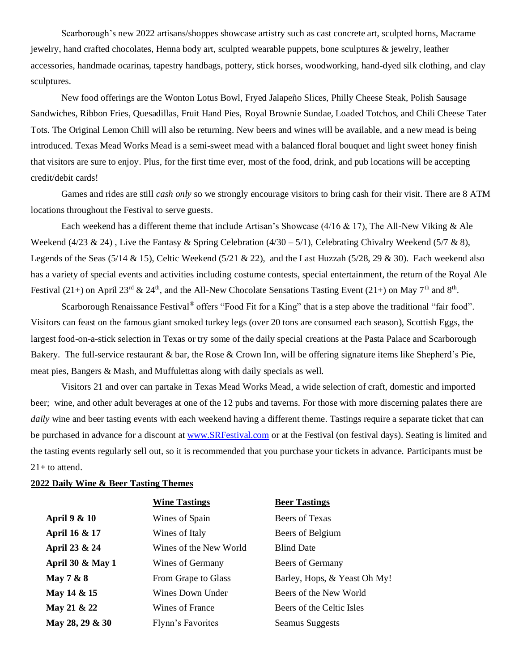Scarborough's new 2022 artisans/shoppes showcase artistry such as cast concrete art, sculpted horns, Macrame jewelry, hand crafted chocolates, Henna body art, sculpted wearable puppets, bone sculptures & jewelry, leather accessories, handmade ocarinas, tapestry handbags, pottery, stick horses, woodworking, hand-dyed silk clothing, and clay sculptures.

New food offerings are the Wonton Lotus Bowl, Fryed Jalapeño Slices, Philly Cheese Steak, Polish Sausage Sandwiches, Ribbon Fries, Quesadillas, Fruit Hand Pies, Royal Brownie Sundae, Loaded Totchos, and Chili Cheese Tater Tots. The Original Lemon Chill will also be returning. New beers and wines will be available, and a new mead is being introduced. Texas Mead Works Mead is a semi-sweet mead with a balanced floral bouquet and light sweet honey finish that visitors are sure to enjoy. Plus, for the first time ever, most of the food, drink, and pub locations will be accepting credit/debit cards!

Games and rides are still *cash only* so we strongly encourage visitors to bring cash for their visit. There are 8 ATM locations throughout the Festival to serve guests.

Each weekend has a different theme that include Artisan's Showcase  $(4/16 \& 17)$ , The All-New Viking & Ale Weekend (4/23 & 24), Live the Fantasy & Spring Celebration (4/30 – 5/1), Celebrating Chivalry Weekend (5/7 & 8), Legends of the Seas (5/14 & 15), Celtic Weekend (5/21 & 22), and the Last Huzzah (5/28, 29 & 30). Each weekend also has a variety of special events and activities including costume contests, special entertainment, the return of the Royal Ale Festival (21+) on April 23<sup>rd</sup> & 24<sup>th</sup>, and the All-New Chocolate Sensations Tasting Event (21+) on May 7<sup>th</sup> and 8<sup>th</sup>.

Scarborough Renaissance Festival<sup>®</sup> offers "Food Fit for a King" that is a step above the traditional "fair food". Visitors can feast on the famous giant smoked turkey legs (over 20 tons are consumed each season), Scottish Eggs, the largest food-on-a-stick selection in Texas or try some of the daily special creations at the Pasta Palace and Scarborough Bakery. The full-service restaurant & bar, the Rose & Crown Inn, will be offering signature items like Shepherd's Pie, meat pies, Bangers & Mash, and Muffulettas along with daily specials as well.

Visitors 21 and over can partake in Texas Mead Works Mead, a wide selection of craft, domestic and imported beer; wine, and other adult beverages at one of the 12 pubs and taverns. For those with more discerning palates there are *daily* wine and beer tasting events with each weekend having a different theme. Tastings require a separate ticket that can be purchased in advance for a discount a[t www.SRFestival.com](http://www.srfestival.com/) or at the Festival (on festival days). Seating is limited and the tasting events regularly sell out, so it is recommended that you purchase your tickets in advance. Participants must be  $21+$  to attend.

#### **2022 Daily Wine & Beer Tasting Themes**

|                     | <b>Wine Tastings</b>   | <b>Beer Tastings</b>         |
|---------------------|------------------------|------------------------------|
| April 9 & 10        | Wines of Spain         | Beers of Texas               |
| April 16 & 17       | Wines of Italy         | Beers of Belgium             |
| April 23 & 24       | Wines of the New World | <b>Blind Date</b>            |
| April 30 $\&$ May 1 | Wines of Germany       | Beers of Germany             |
| May $7 & 8$         | From Grape to Glass    | Barley, Hops, & Yeast Oh My! |
| May 14 & 15         | Wines Down Under       | Beers of the New World       |
| May 21 & 22         | Wines of France        | Beers of the Celtic Isles    |
| May 28, 29 & 30     | Flynn's Favorites      | <b>Seamus Suggests</b>       |
|                     |                        |                              |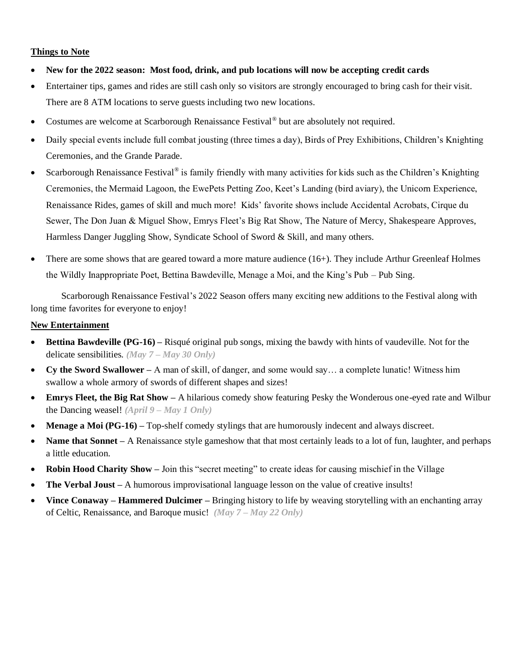### **Things to Note**

- **New for the 2022 season: Most food, drink, and pub locations will now be accepting credit cards**
- Entertainer tips, games and rides are still cash only so visitors are strongly encouraged to bring cash for their visit. There are 8 ATM locations to serve guests including two new locations.
- Costumes are welcome at Scarborough Renaissance Festival<sup>®</sup> but are absolutely not required.
- Daily special events include full combat jousting (three times a day), Birds of Prey Exhibitions, Children's Knighting Ceremonies, and the Grande Parade.
- Scarborough Renaissance Festival<sup>®</sup> is family friendly with many activities for kids such as the Children's Knighting Ceremonies, the Mermaid Lagoon, the EwePets Petting Zoo, Keet's Landing (bird aviary), the Unicorn Experience, Renaissance Rides, games of skill and much more! Kids' favorite shows include Accidental Acrobats, Cirque du Sewer, The Don Juan & Miguel Show, Emrys Fleet's Big Rat Show, The Nature of Mercy, Shakespeare Approves, Harmless Danger Juggling Show, Syndicate School of Sword & Skill, and many others.
- There are some shows that are geared toward a more mature audience (16+). They include Arthur Greenleaf Holmes the Wildly Inappropriate Poet, Bettina Bawdeville, Menage a Moi, and the King's Pub – Pub Sing.

Scarborough Renaissance Festival's 2022 Season offers many exciting new additions to the Festival along with long time favorites for everyone to enjoy!

#### **New Entertainment**

- **Bettina Bawdeville (PG-16) –** Risqué original pub songs, mixing the bawdy with hints of vaudeville. Not for the delicate sensibilities. *(May 7 – May 30 Only)*
- **Cy the Sword Swallower –** A man of skill, of danger, and some would say… a complete lunatic! Witness him swallow a whole armory of swords of different shapes and sizes!
- **Emrys Fleet, the Big Rat Show –** A hilarious comedy show featuring Pesky the Wonderous one-eyed rate and Wilbur the Dancing weasel! *(April 9 – May 1 Only)*
- **Menage a Moi (PG-16)** Top-shelf comedy stylings that are humorously indecent and always discreet.
- **Name that Sonnet** A Renaissance style gameshow that that most certainly leads to a lot of fun, laughter, and perhaps a little education.
- **Robin Hood Charity Show –** Join this "secret meeting" to create ideas for causing mischief in the Village
- **The Verbal Joust** A humorous improvisational language lesson on the value of creative insults!
- **Vince Conaway – Hammered Dulcimer –** Bringing history to life by weaving storytelling with an enchanting array of Celtic, Renaissance, and Baroque music! *(May 7 – May 22 Only)*